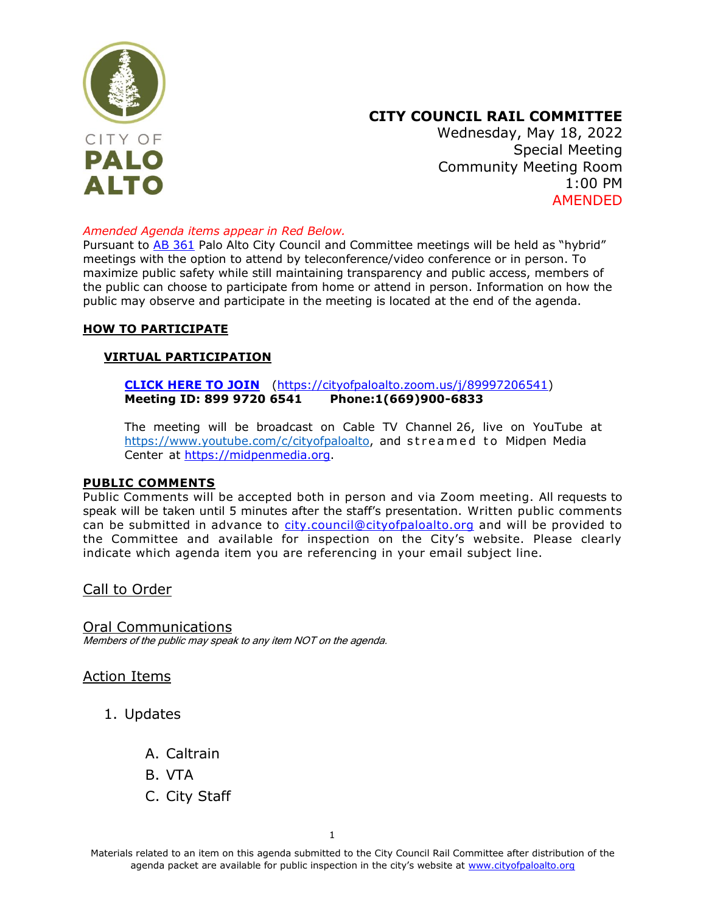

# **CITY COUNCIL RAIL COMMITTEE**

Wednesday, May 18, 2022 Special Meeting Community Meeting Room 1:00 PM AMENDED

#### *Amended Agenda items appear in Red Below.*

Pursuant to [AB 361](https://leginfo.legislature.ca.gov/faces/billNavClient.xhtml?bill_id=202120220AB361) Palo Alto City Council and Committee meetings will be held as "hybrid" meetings with the option to attend by teleconference/video conference or in person. To maximize public safety while still maintaining transparency and public access, members of the public can choose to participate from home or attend in person. Information on how the public may observe and participate in the meeting is located at the end of the agenda.

#### **HOW TO PARTICIPATE**

#### **VIRTUAL PARTICIPATION**

**[CLICK HERE TO JOIN](https://cityofpaloalto.zoom.us/j/99227307235)** [\(https://cityofpaloalto.zoom.us/j/89997206541\)](https://cityofpaloalto.zoom.us/j/89997206541) **Meeting ID: 899 9720 6541 Phone:1(669)900-6833**

The meeting will be broadcast on Cable TV Channel 26, live on YouTube at [https://www.youtube.com/c/cityofpaloalto,](https://www.youtube.com/c/cityofpaloalto) and streamed to Midpen Media Center at [https://midpenmedia.org.](https://midpenmedia.org/)

#### **PUBLIC COMMENTS**

Public Comments will be accepted both in person and via Zoom meeting. All requests to speak will be taken until 5 minutes after the staff's presentation. Written public comments can be submitted in advance to [city.council@cityofpaloalto.org](mailto:city.council@cityofpaloalto.org) and will be provided to the Committee and available for inspection on the City's website. Please clearly indicate which agenda item you are referencing in your email subject line.

Call to Order

Oral Communications Members of the public may speak to any item NOT on the agenda.

Action Items

- 1. Updates
	- A. Caltrain
	- B. VTA
	- C. City Staff

Materials related to an item on this agenda submitted to the City Council Rail Committee after distribution of the agenda packet are available for public inspection in the city's website at [www.cityofpaloalto.org](http://www.cityofpaloalto.org/)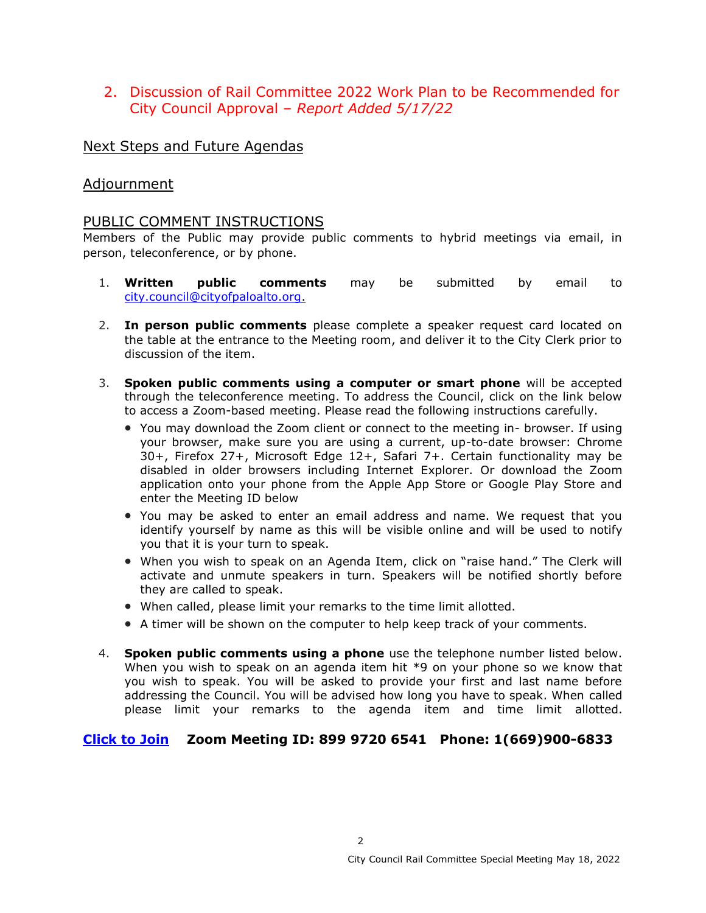## 2. [Discussion of Rail Committee 2022 Work Plan to be Recommended for](#page-2-0) City Council Approval – *Report Added 5/17/22*

## Next Steps and Future Agendas

## Adjournment

## PUBLIC COMMENT INSTRUCTIONS

Members of the Public may provide public comments to hybrid meetings via email, in person, teleconference, or by phone.

- 1. **Written public comments** may be submitted by email to [city.council@cityofpaloalto.org.](mailto:city.council@cityofpaloalto.org)
- 2. **In person public comments** please complete a speaker request card located on the table at the entrance to the Meeting room, and deliver it to the City Clerk prior to discussion of the item.
- 3. **Spoken public comments using a computer or smart phone** will be accepted through the teleconference meeting. To address the Council, click on the link below to access a Zoom-based meeting. Please read the following instructions carefully.
	- You may download the Zoom client or connect to the meeting in- browser. If using your browser, make sure you are using a current, up-to-date browser: Chrome 30+, Firefox 27+, Microsoft Edge 12+, Safari 7+. Certain functionality may be disabled in older browsers including Internet Explorer. Or download the Zoom application onto your phone from the Apple App Store or Google Play Store and enter the Meeting ID below
	- You may be asked to enter an email address and name. We request that you identify yourself by name as this will be visible online and will be used to notify you that it is your turn to speak.
	- When you wish to speak on an Agenda Item, click on "raise hand." The Clerk will activate and unmute speakers in turn. Speakers will be notified shortly before they are called to speak.
	- When called, please limit your remarks to the time limit allotted.
	- A timer will be shown on the computer to help keep track of your comments.
- 4. **Spoken public comments using a phone** use the telephone number listed below. When you wish to speak on an agenda item hit \*9 on your phone so we know that you wish to speak. You will be asked to provide your first and last name before addressing the Council. You will be advised how long you have to speak. When called please limit your remarks to the agenda item and time limit allotted.

### **[Click to Join](https://cityofpaloalto.zoom.us/j/89997206541) Zoom Meeting ID: 899 9720 6541 Phone: 1(669)900-6833**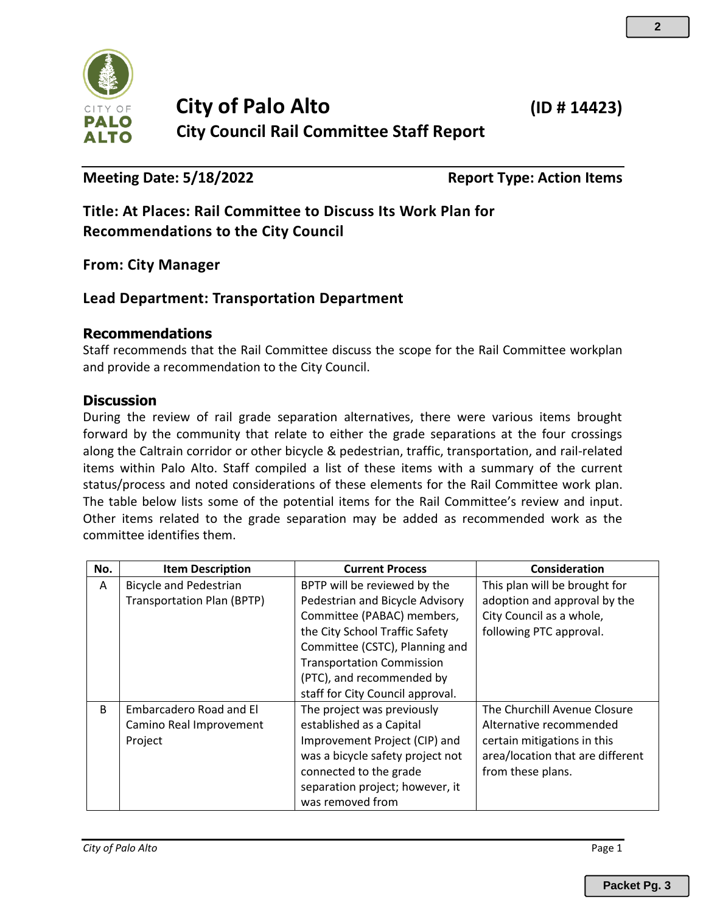<span id="page-2-0"></span>

# **City of Palo Alto (ID # 14423) City Council Rail Committee Staff Report**

**Meeting Date: 5/18/2022 Report Type: Action Items**

**Title: At Places: Rail Committee to Discuss Its Work Plan for Recommendations to the City Council**

**From: City Manager**

# **Lead Department: Transportation Department**

## **Recommendations**

Staff recommends that the Rail Committee discuss the scope for the Rail Committee workplan and provide a recommendation to the City Council.

### **Discussion**

During the review of rail grade separation alternatives, there were various items brought forward by the community that relate to either the grade separations at the four crossings along the Caltrain corridor or other bicycle & pedestrian, traffic, transportation, and rail-related items within Palo Alto. Staff compiled a list of these items with a summary of the current status/process and noted considerations of these elements for the Rail Committee work plan. The table below lists some of the potential items for the Rail Committee's review and input. Other items related to the grade separation may be added as recommended work as the committee identifies them.

| No. | <b>Item Description</b>           | <b>Current Process</b>           | Consideration                    |
|-----|-----------------------------------|----------------------------------|----------------------------------|
| A   | <b>Bicycle and Pedestrian</b>     | BPTP will be reviewed by the     | This plan will be brought for    |
|     | <b>Transportation Plan (BPTP)</b> | Pedestrian and Bicycle Advisory  | adoption and approval by the     |
|     |                                   | Committee (PABAC) members,       | City Council as a whole,         |
|     |                                   | the City School Traffic Safety   | following PTC approval.          |
|     |                                   | Committee (CSTC), Planning and   |                                  |
|     |                                   | <b>Transportation Commission</b> |                                  |
|     |                                   | (PTC), and recommended by        |                                  |
|     |                                   | staff for City Council approval. |                                  |
| B   | Embarcadero Road and El           | The project was previously       | The Churchill Avenue Closure     |
|     | Camino Real Improvement           | established as a Capital         | Alternative recommended          |
|     | Project                           | Improvement Project (CIP) and    | certain mitigations in this      |
|     |                                   | was a bicycle safety project not | area/location that are different |
|     |                                   | connected to the grade           | from these plans.                |
|     |                                   | separation project; however, it  |                                  |
|     |                                   | was removed from                 |                                  |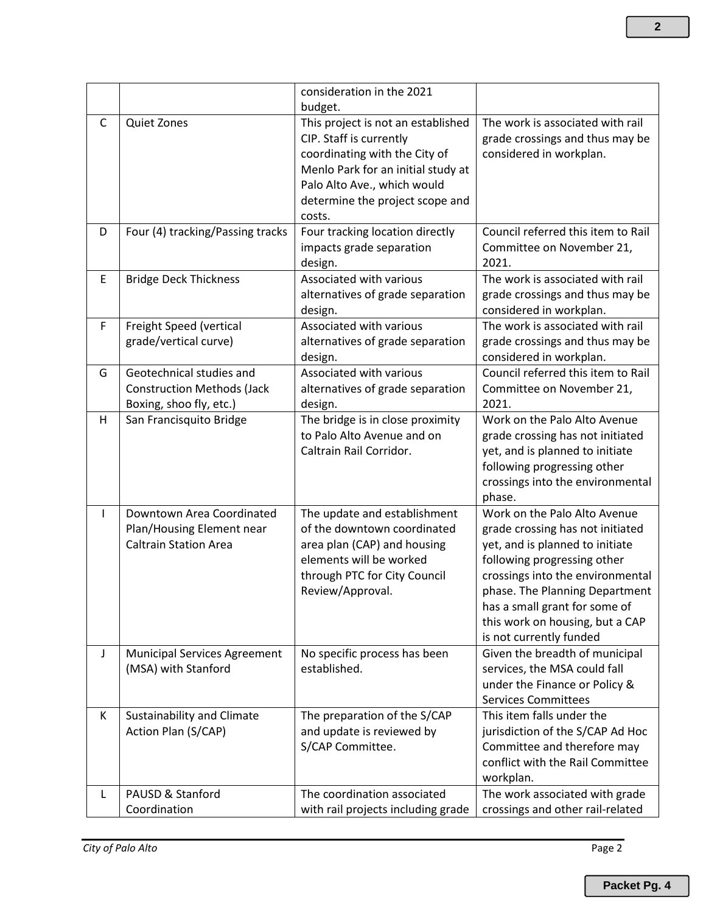|              |                                                                                          | consideration in the 2021<br>budget.                                                                                                                                                                             |                                                                                                                                                                                                                                                                                                         |
|--------------|------------------------------------------------------------------------------------------|------------------------------------------------------------------------------------------------------------------------------------------------------------------------------------------------------------------|---------------------------------------------------------------------------------------------------------------------------------------------------------------------------------------------------------------------------------------------------------------------------------------------------------|
| C            | <b>Quiet Zones</b>                                                                       | This project is not an established<br>CIP. Staff is currently<br>coordinating with the City of<br>Menlo Park for an initial study at<br>Palo Alto Ave., which would<br>determine the project scope and<br>costs. | The work is associated with rail<br>grade crossings and thus may be<br>considered in workplan.                                                                                                                                                                                                          |
| D            | Four (4) tracking/Passing tracks                                                         | Four tracking location directly<br>impacts grade separation<br>design.                                                                                                                                           | Council referred this item to Rail<br>Committee on November 21,<br>2021.                                                                                                                                                                                                                                |
| E            | <b>Bridge Deck Thickness</b>                                                             | Associated with various<br>alternatives of grade separation<br>design.                                                                                                                                           | The work is associated with rail<br>grade crossings and thus may be<br>considered in workplan.                                                                                                                                                                                                          |
| F            | Freight Speed (vertical<br>grade/vertical curve)                                         | Associated with various<br>alternatives of grade separation<br>design.                                                                                                                                           | The work is associated with rail<br>grade crossings and thus may be<br>considered in workplan.                                                                                                                                                                                                          |
| G            | Geotechnical studies and<br><b>Construction Methods (Jack</b><br>Boxing, shoo fly, etc.) | Associated with various<br>alternatives of grade separation<br>design.                                                                                                                                           | Council referred this item to Rail<br>Committee on November 21,<br>2021.                                                                                                                                                                                                                                |
| H            | San Francisquito Bridge                                                                  | The bridge is in close proximity<br>to Palo Alto Avenue and on<br>Caltrain Rail Corridor.                                                                                                                        | Work on the Palo Alto Avenue<br>grade crossing has not initiated<br>yet, and is planned to initiate<br>following progressing other<br>crossings into the environmental<br>phase.                                                                                                                        |
| $\mathsf{I}$ | Downtown Area Coordinated<br>Plan/Housing Element near<br><b>Caltrain Station Area</b>   | The update and establishment<br>of the downtown coordinated<br>area plan (CAP) and housing<br>elements will be worked<br>through PTC for City Council<br>Review/Approval.                                        | Work on the Palo Alto Avenue<br>grade crossing has not initiated<br>yet, and is planned to initiate<br>following progressing other<br>crossings into the environmental<br>phase. The Planning Department<br>has a small grant for some of<br>this work on housing, but a CAP<br>is not currently funded |
| J            | <b>Municipal Services Agreement</b><br>(MSA) with Stanford                               | No specific process has been<br>established.                                                                                                                                                                     | Given the breadth of municipal<br>services, the MSA could fall<br>under the Finance or Policy &<br><b>Services Committees</b>                                                                                                                                                                           |
| K            | Sustainability and Climate<br>Action Plan (S/CAP)                                        | The preparation of the S/CAP<br>and update is reviewed by<br>S/CAP Committee.                                                                                                                                    | This item falls under the<br>jurisdiction of the S/CAP Ad Hoc<br>Committee and therefore may<br>conflict with the Rail Committee<br>workplan.                                                                                                                                                           |
| L            | PAUSD & Stanford<br>Coordination                                                         | The coordination associated<br>with rail projects including grade                                                                                                                                                | The work associated with grade<br>crossings and other rail-related                                                                                                                                                                                                                                      |